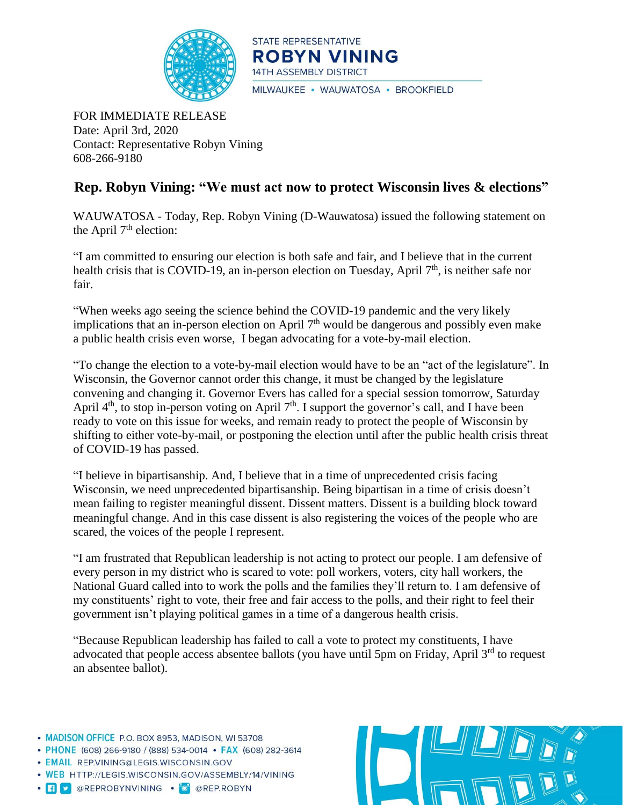

STATE REPRESENTATIVE **ROBYN VINING 14TH ASSEMBLY DISTRICT** MILWAUKEE · WAUWATOSA · BROOKFIELD

FOR IMMEDIATE RELEASE Date: April 3rd, 2020 Contact: Representative Robyn Vining 608-266-9180

## **Rep. Robyn Vining: "We must act now to protect Wisconsin lives & elections"**

WAUWATOSA - Today, Rep. Robyn Vining (D-Wauwatosa) issued the following statement on the April  $7<sup>th</sup>$  election:

"I am committed to ensuring our election is both safe and fair, and I believe that in the current health crisis that is COVID-19, an in-person election on Tuesday, April 7<sup>th</sup>, is neither safe nor fair.

"When weeks ago seeing the science behind the COVID-19 pandemic and the very likely implications that an in-person election on April  $7<sup>th</sup>$  would be dangerous and possibly even make a public health crisis even worse, I began advocating for a vote-by-mail election.

"To change the election to a vote-by-mail election would have to be an "act of the legislature". In Wisconsin, the Governor cannot order this change, it must be changed by the legislature convening and changing it. Governor Evers has called for a special session tomorrow, Saturday April  $4<sup>th</sup>$ , to stop in-person voting on April  $7<sup>th</sup>$ . I support the governor's call, and I have been ready to vote on this issue for weeks, and remain ready to protect the people of Wisconsin by shifting to either vote-by-mail, or postponing the election until after the public health crisis threat of COVID-19 has passed.

"I believe in bipartisanship. And, I believe that in a time of unprecedented crisis facing Wisconsin, we need unprecedented bipartisanship. Being bipartisan in a time of crisis doesn't mean failing to register meaningful dissent. Dissent matters. Dissent is a building block toward meaningful change. And in this case dissent is also registering the voices of the people who are scared, the voices of the people I represent.

"I am frustrated that Republican leadership is not acting to protect our people. I am defensive of every person in my district who is scared to vote: poll workers, voters, city hall workers, the National Guard called into to work the polls and the families they'll return to. I am defensive of my constituents' right to vote, their free and fair access to the polls, and their right to feel their government isn't playing political games in a time of a dangerous health crisis.

"Because Republican leadership has failed to call a vote to protect my constituents, I have advocated that people access absentee ballots (you have until 5pm on Friday, April 3<sup>rd</sup> to request an absentee ballot).

- MADISON OFFICE P.O. BOX 8953, MADISON, WI 53708
- PHONE (608) 266-9180 / (888) 534-0014 FAX (608) 282-3614
- · EMAIL REP.VINING@LEGIS.WISCONSIN.GOV
- . WEB HTTP://LEGIS.WISCONSIN.GOV/ASSEMBLY/14/VINING
- · **f v** @REPROBYNVINING · O @REP.ROBYN